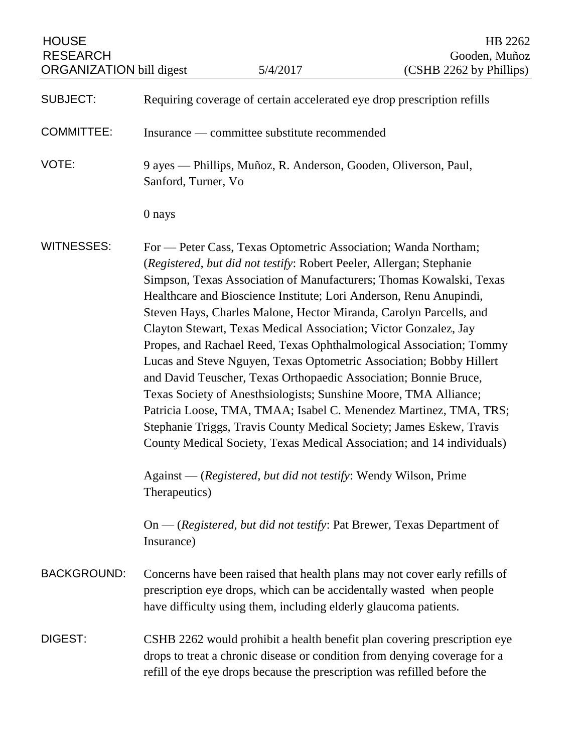| <b>HOUSE</b><br><b>RESEARCH</b><br><b>ORGANIZATION</b> bill digest |                                                                                                                                                                                                                                                                                                                                                                                                                                                                                                                                                                                                                                                                                                                                                                                                                                                                                                                                                                                                                                                                                                                        | 5/4/2017 | HB 2262<br>Gooden, Muñoz<br>(CSHB 2262 by Phillips) |
|--------------------------------------------------------------------|------------------------------------------------------------------------------------------------------------------------------------------------------------------------------------------------------------------------------------------------------------------------------------------------------------------------------------------------------------------------------------------------------------------------------------------------------------------------------------------------------------------------------------------------------------------------------------------------------------------------------------------------------------------------------------------------------------------------------------------------------------------------------------------------------------------------------------------------------------------------------------------------------------------------------------------------------------------------------------------------------------------------------------------------------------------------------------------------------------------------|----------|-----------------------------------------------------|
| <b>SUBJECT:</b>                                                    | Requiring coverage of certain accelerated eye drop prescription refills                                                                                                                                                                                                                                                                                                                                                                                                                                                                                                                                                                                                                                                                                                                                                                                                                                                                                                                                                                                                                                                |          |                                                     |
| <b>COMMITTEE:</b>                                                  | Insurance — committee substitute recommended                                                                                                                                                                                                                                                                                                                                                                                                                                                                                                                                                                                                                                                                                                                                                                                                                                                                                                                                                                                                                                                                           |          |                                                     |
| VOTE:                                                              | 9 ayes — Phillips, Muñoz, R. Anderson, Gooden, Oliverson, Paul,<br>Sanford, Turner, Vo                                                                                                                                                                                                                                                                                                                                                                                                                                                                                                                                                                                                                                                                                                                                                                                                                                                                                                                                                                                                                                 |          |                                                     |
|                                                                    | 0 nays                                                                                                                                                                                                                                                                                                                                                                                                                                                                                                                                                                                                                                                                                                                                                                                                                                                                                                                                                                                                                                                                                                                 |          |                                                     |
| <b>WITNESSES:</b>                                                  | For — Peter Cass, Texas Optometric Association; Wanda Northam;<br>(Registered, but did not testify: Robert Peeler, Allergan; Stephanie<br>Simpson, Texas Association of Manufacturers; Thomas Kowalski, Texas<br>Healthcare and Bioscience Institute; Lori Anderson, Renu Anupindi,<br>Steven Hays, Charles Malone, Hector Miranda, Carolyn Parcells, and<br>Clayton Stewart, Texas Medical Association; Victor Gonzalez, Jay<br>Propes, and Rachael Reed, Texas Ophthalmological Association; Tommy<br>Lucas and Steve Nguyen, Texas Optometric Association; Bobby Hillert<br>and David Teuscher, Texas Orthopaedic Association; Bonnie Bruce,<br>Texas Society of Anesthsiologists; Sunshine Moore, TMA Alliance;<br>Patricia Loose, TMA, TMAA; Isabel C. Menendez Martinez, TMA, TRS;<br>Stephanie Triggs, Travis County Medical Society; James Eskew, Travis<br>County Medical Society, Texas Medical Association; and 14 individuals)<br>Against — (Registered, but did not testify: Wendy Wilson, Prime<br>Therapeutics)<br>On — (Registered, but did not testify: Pat Brewer, Texas Department of<br>Insurance) |          |                                                     |
| <b>BACKGROUND:</b>                                                 | Concerns have been raised that health plans may not cover early refills of<br>prescription eye drops, which can be accidentally wasted when people<br>have difficulty using them, including elderly glaucoma patients.                                                                                                                                                                                                                                                                                                                                                                                                                                                                                                                                                                                                                                                                                                                                                                                                                                                                                                 |          |                                                     |
| DIGEST:                                                            | CSHB 2262 would prohibit a health benefit plan covering prescription eye<br>drops to treat a chronic disease or condition from denying coverage for a<br>refill of the eye drops because the prescription was refilled before the                                                                                                                                                                                                                                                                                                                                                                                                                                                                                                                                                                                                                                                                                                                                                                                                                                                                                      |          |                                                     |